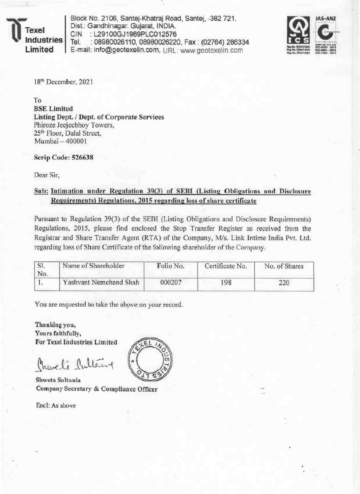exel dustries Limited

Block No. 2106, Santej-Khatraj Road, Santej, -382 721. Dist.: Gandhinagar. Gujarat, INDIA. : L29100GJ1989PLC012576 **CIN** Tel. : 08980026110, 08980026220, Fax: (02764) 286334 E-mail: info@geotexelin.com, URL: www.geotexelin.com



18<sup>th</sup> December, 2021

To

**BSE Limited** Listing Dept. / Dept. of Corporate Services Phiroze Jecjeebhoy Towers, 25<sup>th</sup> Floor, Dalal Street. Mumbai - 400001

Scrip Code: 526638

Dear Sir,

## Sub: Intimation under Regulation 39(3) of SEBI (Listing Obligations and Disclosure Requirements) Regulations, 2015 regarding loss of share certificate

Pursuant to Regulation 39(3) of the SEBI (Listing Obligations and Disclosure Requirements) Regulations, 2015, please find enclosed the Stop Transfer Register as received from the Registrar and Share Transfer Agent (RTA) of the Company, M/s. Link Intime India Pvt. Ltd. regarding loss of Share Certificate of the following shareholder of the Company.

| SI.<br>No. | Name of Shareholder    | Folio No. | Certificate No. | No. of Shares |  |
|------------|------------------------|-----------|-----------------|---------------|--|
|            | Yashvant Nemchand Shah | 000207    | 198             |               |  |

You are requested to take the above on your record.

Thanking you, Yours faithfully, For Texel Industries Limited

Charlie Cultering

Shweta Sultania Company Secretary & Compliance Officer

Encl: As above